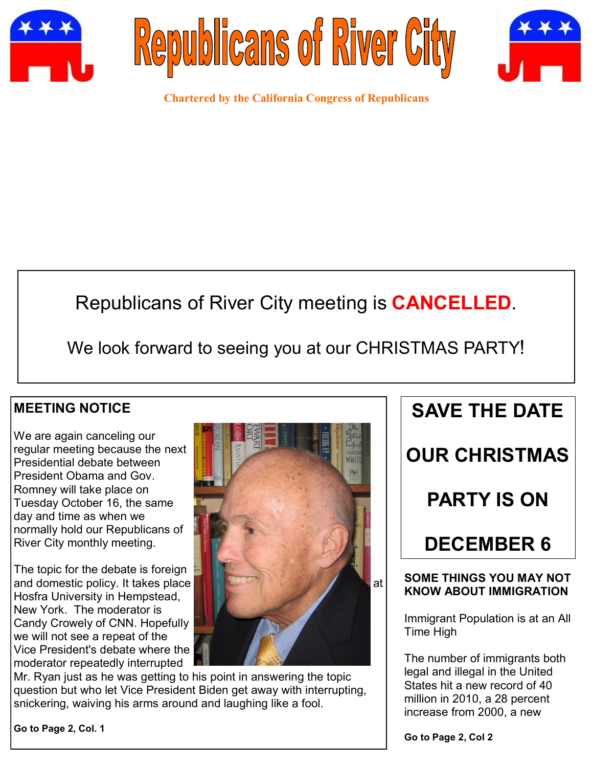





**Chartered by the California Congress of Republicans**

# Republicans of River City meeting is **CANCELLED**.

We look forward to seeing you at our CHRISTMAS PARTY!

### **MEETING NOTICE**

We are again canceling our regular meeting because the next Presidential debate between President Obama and Gov. Romney will take place on Tuesday October 16, the same day and time as when we normally hold our Republicans of River City monthly meeting.

The topic for the debate is foreign Hosfra University in Hempstead, New York. The moderator is Candy Crowely of CNN. Hopefully we will not see a repeat of the Vice President's debate where the moderator repeatedly interrupted



Mr. Ryan just as he was getting to his point in answering the topic question but who let Vice President Biden get away with interrupting, snickering, waiving his arms around and laughing like a fool.

**Go to Page 2, Col. 1**



### **SOME THINGS YOU MAY NOT KNOW ABOUT IMMIGRATION**

Immigrant Population is at an All Time High

The number of immigrants both legal and illegal in the United States hit a new record of 40 million in 2010, a 28 percent increase from 2000, a new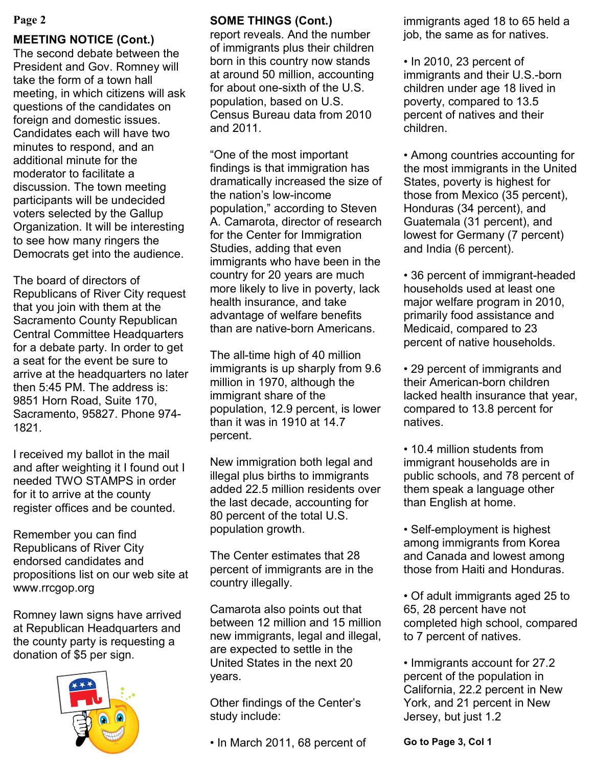### **Page 2**

### **MEETING NOTICE (Cont.)**

The second debate between the President and Gov. Romney will take the form of a town hall meeting, in which citizens will ask questions of the candidates on foreign and domestic issues. Candidates each will have two minutes to respond, and an additional minute for the moderator to facilitate a discussion. The town meeting participants will be undecided voters selected by the Gallup Organization. It will be interesting to see how many ringers the Democrats get into the audience.

The board of directors of Republicans of River City request that you join with them at the Sacramento County Republican Central Committee Headquarters for a debate party. In order to get a seat for the event be sure to arrive at the headquarters no later then 5:45 PM. The address is: 9851 Horn Road, Suite 170, Sacramento, 95827. Phone 974- 1821.

I received my ballot in the mail and after weighting it I found out I needed TWO STAMPS in order for it to arrive at the county register offices and be counted.

Remember you can find Republicans of River City endorsed candidates and propositions list on our web site at www.rrcgop.org

Romney lawn signs have arrived at Republican Headquarters and the county party is requesting a donation of \$5 per sign.



### **SOME THINGS (Cont.)**

report reveals. And the number of immigrants plus their children born in this country now stands at around 50 million, accounting for about one-sixth of the U.S. population, based on U.S. Census Bureau data from 2010 and 2011.

"One of the most important findings is that immigration has dramatically increased the size of the nation's low-income population," according to Steven A. Camarota, director of research for the Center for Immigration Studies, adding that even immigrants who have been in the country for 20 years are much more likely to live in poverty, lack health insurance, and take advantage of welfare benefits than are native-born Americans.

The all-time high of 40 million immigrants is up sharply from 9.6 million in 1970, although the immigrant share of the population, 12.9 percent, is lower than it was in 1910 at 14.7 percent.

New immigration both legal and illegal plus births to immigrants added 22.5 million residents over the last decade, accounting for 80 percent of the total U.S. population growth.

The Center estimates that 28 percent of immigrants are in the country illegally.

Camarota also points out that between 12 million and 15 million new immigrants, legal and illegal, are expected to settle in the United States in the next 20 years.

Other findings of the Center's study include:

• In March 2011, 68 percent of

immigrants aged 18 to 65 held a job, the same as for natives.

• In 2010, 23 percent of immigrants and their U.S.-born children under age 18 lived in poverty, compared to 13.5 percent of natives and their children.

• Among countries accounting for the most immigrants in the United States, poverty is highest for those from Mexico (35 percent), Honduras (34 percent), and Guatemala (31 percent), and lowest for Germany (7 percent) and India (6 percent).

• 36 percent of immigrant-headed households used at least one major welfare program in 2010, primarily food assistance and Medicaid, compared to 23 percent of native households.

• 29 percent of immigrants and their American-born children lacked health insurance that year, compared to 13.8 percent for natives.

• 10.4 million students from immigrant households are in public schools, and 78 percent of them speak a language other than English at home.

• Self-employment is highest among immigrants from Korea and Canada and lowest among those from Haiti and Honduras.

• Of adult immigrants aged 25 to 65, 28 percent have not completed high school, compared to 7 percent of natives.

• Immigrants account for 27.2 percent of the population in California, 22.2 percent in New York, and 21 percent in New Jersey, but just 1.2

**Go to Page 3, Col 1**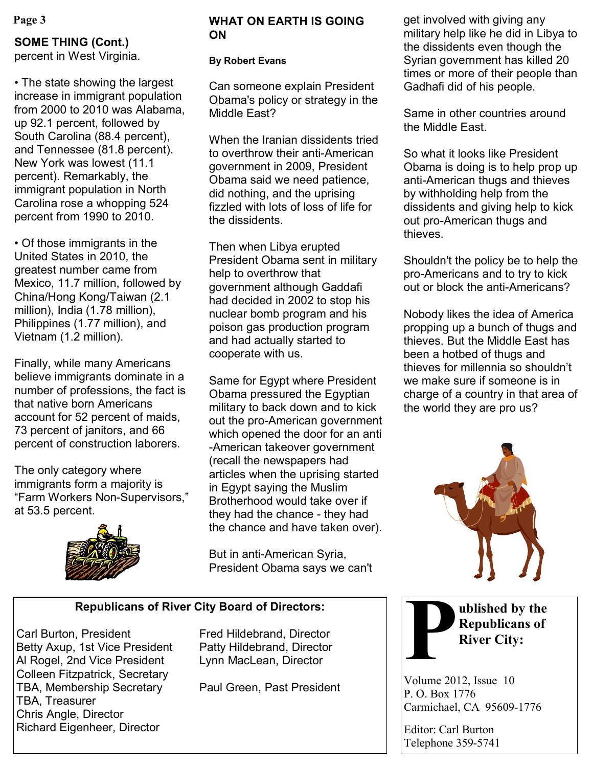### **SOME THING (Cont.)**

percent in West Virginia.

• The state showing the largest increase in immigrant population from 2000 to 2010 was Alabama, up 92.1 percent, followed by South Carolina (88.4 percent), and Tennessee (81.8 percent). New York was lowest (11.1 percent). Remarkably, the immigrant population in North Carolina rose a whopping 524 percent from 1990 to 2010.

• Of those immigrants in the United States in 2010, the greatest number came from Mexico, 11.7 million, followed by China/Hong Kong/Taiwan (2.1 million), India (1.78 million), Philippines (1.77 million), and Vietnam (1.2 million).

Finally, while many Americans believe immigrants dominate in a number of professions, the fact is that native born Americans account for 52 percent of maids, 73 percent of janitors, and 66 percent of construction laborers.

The only category where immigrants form a majority is "Farm Workers Non-Supervisors," at 53.5 percent.



### **Page 3 get involved with giving any WHAT ON EARTH IS GOING** get involved with giving any **ON**

**By Robert Evans**

Can someone explain President Obama's policy or strategy in the Middle East?

When the Iranian dissidents tried to overthrow their anti-American government in 2009, President Obama said we need patience, did nothing, and the uprising fizzled with lots of loss of life for the dissidents.

Then when Libya erupted President Obama sent in military help to overthrow that government although Gaddafi had decided in 2002 to stop his nuclear bomb program and his poison gas production program and had actually started to cooperate with us.

Same for Egypt where President Obama pressured the Egyptian military to back down and to kick out the pro-American government which opened the door for an anti -American takeover government (recall the newspapers had articles when the uprising started in Egypt saying the Muslim Brotherhood would take over if they had the chance - they had the chance and have taken over).

But in anti-American Syria, President Obama says we can't

### **Republicans of River City Board of Directors:**

Carl Burton, President Fred Hildebrand, Director Betty Axup, 1st Vice President Patty Hildebrand, Director Al Rogel, 2nd Vice President Lynn MacLean, Director Colleen Fitzpatrick, Secretary TBA, Membership Secretary Paul Green, Past President TBA, Treasurer Chris Angle, Director Richard Eigenheer, Director

military help like he did in Libya to the dissidents even though the Syrian government has killed 20 times or more of their people than Gadhafi did of his people.

Same in other countries around the Middle East.

So what it looks like President Obama is doing is to help prop up anti-American thugs and thieves by withholding help from the dissidents and giving help to kick out pro-American thugs and thieves.

Shouldn't the policy be to help the pro-Americans and to try to kick out or block the anti-Americans?

Nobody likes the idea of America propping up a bunch of thugs and thieves. But the Middle East has been a hotbed of thugs and thieves for millennia so shouldn't we make sure if someone is in charge of a country in that area of the world they are pro us?



**P ublished by the Republicans of River City:**

Volume 2012, Issue 10 P. O. Box 1776 Carmichael, CA 95609-1776

Editor: Carl Burton Telephone 359-5741